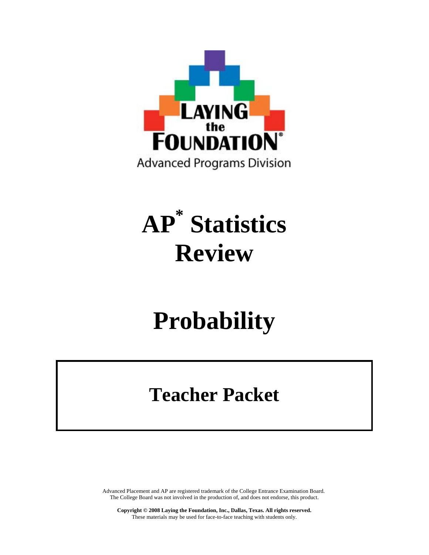

# **AP\* Statistics Review**

# **Probability**

# **Teacher Packet**

Advanced Placement and AP are registered trademark of the College Entrance Examination Board. The College Board was not involved in the production of, and does not endorse, this product.

**Copyright © 2008 Laying the Foundation, Inc., Dallas, Texas. All rights reserved.**  These materials may be used for face-to-face teaching with students only.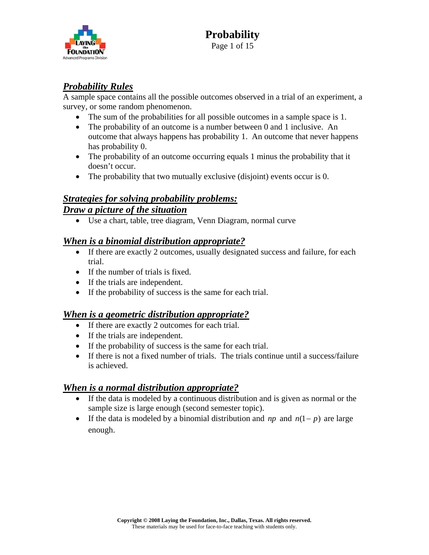

### *Probability Rules*

A sample space contains all the possible outcomes observed in a trial of an experiment, a survey, or some random phenomenon.

- The sum of the probabilities for all possible outcomes in a sample space is 1.
- The probability of an outcome is a number between 0 and 1 inclusive. An outcome that always happens has probability 1. An outcome that never happens has probability 0.
- The probability of an outcome occurring equals 1 minus the probability that it doesn't occur.
- The probability that two mutually exclusive (disjoint) events occur is 0.

# *Strategies for solving probability problems: Draw a picture of the situation*

• Use a chart, table, tree diagram, Venn Diagram, normal curve

#### *When is a binomial distribution appropriate?*

- If there are exactly 2 outcomes, usually designated success and failure, for each trial.
- If the number of trials is fixed.
- If the trials are independent.
- If the probability of success is the same for each trial.

#### *When is a geometric distribution appropriate?*

- If there are exactly 2 outcomes for each trial.
- If the trials are independent.
- If the probability of success is the same for each trial.
- If there is not a fixed number of trials. The trials continue until a success/failure is achieved.

#### *When is a normal distribution appropriate?*

- If the data is modeled by a continuous distribution and is given as normal or the sample size is large enough (second semester topic).
- If the data is modeled by a binomial distribution and  $np$  and  $n(1-p)$  are large enough.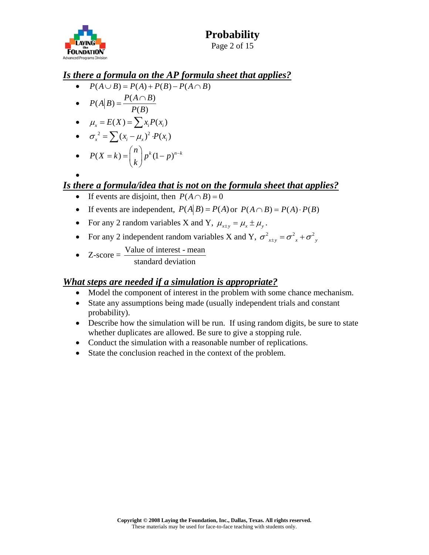

•

# *Is there a formula on the AP formula sheet that applies?*

- $P(A \cup B) = P(A) + P(B) P(A \cap B)$
- $P(A|B) = \frac{P(A \cap B)}{P(B)}$  $P(B)$  $=\frac{P(A\cap$

$$
\bullet \qquad \mu_x = E(X) = \sum x_i P(x_i)
$$

$$
\bullet \quad \sigma_x^2 = \sum (x_i - \mu_x)^2 \cdot P(x_i)
$$

• 
$$
P(X = k) = {n \choose k} p^{k} (1-p)^{n-k}
$$

# *Is there a formula/idea that is not on the formula sheet that applies?*

- If events are disjoint, then  $P(A \cap B) = 0$
- If events are independent,  $P(A|B) = P(A)$  or  $P(A \cap B) = P(A) \cdot P(B)$
- For any 2 random variables X and Y,  $\mu_{x+y} = \mu_x \pm \mu_y$ .
- For any 2 independent random variables X and Y,  $\sigma_{x+y}^2 = \sigma_{x}^2 + \sigma_{y}^2$
- $Z-score = \frac{Value \space of \space interest mean}{Value \space of \space test mean}$ 
	- standard deviation

#### *What steps are needed if a simulation is appropriate?*

- Model the component of interest in the problem with some chance mechanism.
- State any assumptions being made (usually independent trials and constant probability).
- Describe how the simulation will be run. If using random digits, be sure to state whether duplicates are allowed. Be sure to give a stopping rule.
- Conduct the simulation with a reasonable number of replications.
- State the conclusion reached in the context of the problem.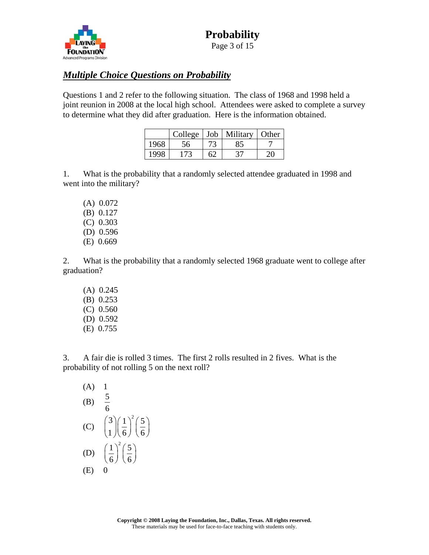

### *Multiple Choice Questions on Probability*

Questions 1 and 2 refer to the following situation. The class of 1968 and 1998 held a joint reunion in 2008 at the local high school. Attendees were asked to complete a survey to determine what they did after graduation. Here is the information obtained.

|      | College |    | Job   Military | Other |
|------|---------|----|----------------|-------|
| 1968 |         |    |                |       |
| 1998 | 173     | 62 |                |       |

1. What is the probability that a randomly selected attendee graduated in 1998 and went into the military?

 (A) 0.072 (B) 0.127 (C) 0.303 (D) 0.596 (E) 0.669

2. What is the probability that a randomly selected 1968 graduate went to college after graduation?

 (A) 0.245 (B) 0.253 (C) 0.560 (D) 0.592 (E) 0.755

3. A fair die is rolled 3 times. The first 2 rolls resulted in 2 fives. What is the probability of not rolling 5 on the next roll?

(A) 1  
\n(B) 
$$
\frac{5}{6}
$$
  
\n(C)  $\binom{3}{1} \left(\frac{1}{6}\right)^2 \left(\frac{5}{6}\right)$   
\n(D)  $\left(\frac{1}{6}\right)^2 \left(\frac{5}{6}\right)$   
\n(E) 0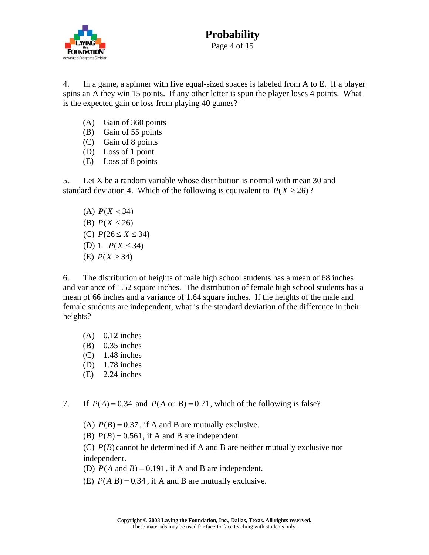

4. In a game, a spinner with five equal-sized spaces is labeled from A to E. If a player spins an A they win 15 points. If any other letter is spun the player loses 4 points. What is the expected gain or loss from playing 40 games?

- (A) Gain of 360 points
- (B) Gain of 55 points
- (C) Gain of 8 points
- (D) Loss of 1 point
- (E) Loss of 8 points

5. Let X be a random variable whose distribution is normal with mean 30 and standard deviation 4. Which of the following is equivalent to  $P(X \ge 26)$ ?

(D)  $1-P(X ≤ 34)$ (A)  $P(X < 34)$ (B)  $P(X \le 26)$ (C)  $P(26 \le X \le 34)$ (E)  $P(X ≥ 34)$ 

6. The distribution of heights of male high school students has a mean of 68 inches and variance of 1.52 square inches. The distribution of female high school students has a mean of 66 inches and a variance of 1.64 square inches. If the heights of the male and female students are independent, what is the standard deviation of the difference in their heights?

- $(A)$  0.12 inches
- (B) 0.35 inches
- $(C)$  1.48 inches
- (D) 1.78 inches
- (E) 2.24 inches
- 7. If  $P(A) = 0.34$  and  $P(A \text{ or } B) = 0.71$ , which of the following is false?
	- (A)  $P(B) = 0.37$ , if A and B are mutually exclusive.
	- (B)  $P(B) = 0.561$ , if A and B are independent.

(C)  $P(B)$  cannot be determined if A and B are neither mutually exclusive nor independent.

- (D)  $P(A \text{ and } B) = 0.191$ , if A and B are independent.
- (E)  $P(A|B) = 0.34$ , if A and B are mutually exclusive.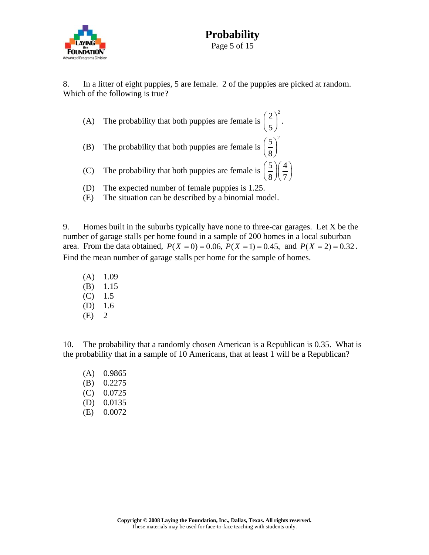

8. In a litter of eight puppies, 5 are female. 2 of the puppies are picked at random. Which of the following is true?

- (A) The probability that both puppies are female is  $2^2$  $\left(\frac{2}{5}\right)^{2}$ . (B) The probability that both puppies are female is  $5)^2$  $\left(\frac{5}{8}\right)$
- (C) The probability that both puppies are female is  $\left(\frac{5}{5}\right)\left(\frac{4}{5}\right)$  $\left(\frac{5}{8}\right)\left(\frac{4}{7}\right)$
- (D) The expected number of female puppies is 1.25.
- (E) The situation can be described by a binomial model.

9. Homes built in the suburbs typically have none to three-car garages. Let X be the number of garage stalls per home found in a sample of 200 homes in a local suburban area. From the data obtained,  $P(X = 0) = 0.06$ ,  $P(X = 1) = 0.45$ , and  $P(X = 2) = 0.32$ . Find the mean number of garage stalls per home for the sample of homes.

 $(A)$  1.09 (B) 1.15  $(C)$  1.5 (D) 1.6  $(E)$  2

10. The probability that a randomly chosen American is a Republican is 0.35. What is the probability that in a sample of 10 Americans, that at least 1 will be a Republican?

(A) 0.9865 (B) 0.2275 (C) 0.0725 (D) 0.0135 (E) 0.0072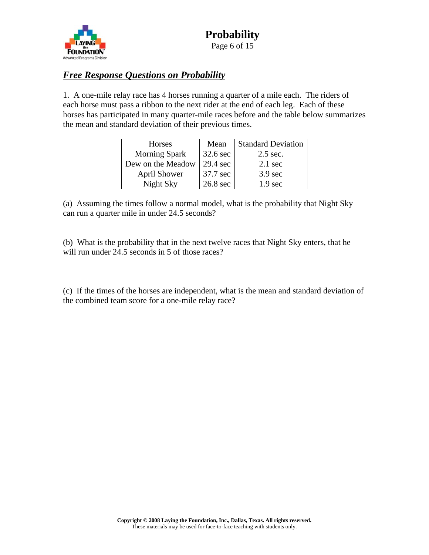

# *Free Response Questions on Probability*

1. A one-mile relay race has 4 horses running a quarter of a mile each. The riders of each horse must pass a ribbon to the next rider at the end of each leg. Each of these horses has participated in many quarter-mile races before and the table below summarizes the mean and standard deviation of their previous times.

| Horses               | Mean     | <b>Standard Deviation</b> |  |
|----------------------|----------|---------------------------|--|
| <b>Morning Spark</b> | 32.6 sec | 2.5 sec.                  |  |
| Dew on the Meadow    | 29.4 sec | $2.1 \text{ sec}$         |  |
| <b>April Shower</b>  | 37.7 sec | $3.9 \text{ sec}$         |  |
| Night Sky            | 26.8 sec | 1.9 <sub>sec</sub>        |  |

(a) Assuming the times follow a normal model, what is the probability that Night Sky can run a quarter mile in under 24.5 seconds?

(b) What is the probability that in the next twelve races that Night Sky enters, that he will run under 24.5 seconds in 5 of those races?

(c) If the times of the horses are independent, what is the mean and standard deviation of the combined team score for a one-mile relay race?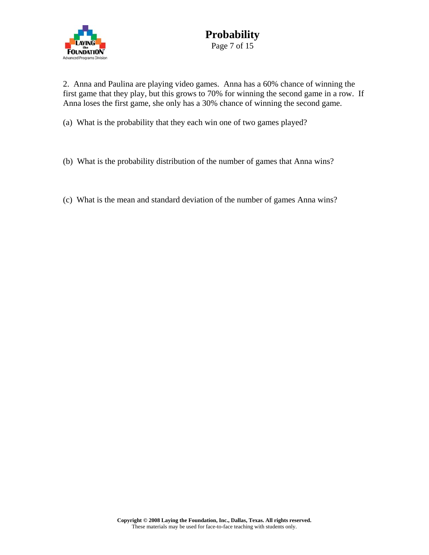

2. Anna and Paulina are playing video games. Anna has a 60% chance of winning the first game that they play, but this grows to 70% for winning the second game in a row. If Anna loses the first game, she only has a 30% chance of winning the second game.

(a) What is the probability that they each win one of two games played?

- (b) What is the probability distribution of the number of games that Anna wins?
- (c) What is the mean and standard deviation of the number of games Anna wins?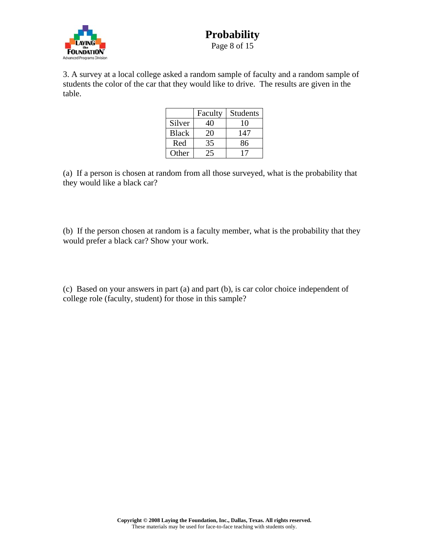

3. A survey at a local college asked a random sample of faculty and a random sample of students the color of the car that they would like to drive. The results are given in the table.

|              | Faculty | <b>Students</b> |
|--------------|---------|-----------------|
| Silver       | 40      | 10              |
| <b>Black</b> | 20      | 147             |
| Red          | 35      | 86              |
| Other        | 25      |                 |

(a) If a person is chosen at random from all those surveyed, what is the probability that they would like a black car?

(b) If the person chosen at random is a faculty member, what is the probability that they would prefer a black car? Show your work.

(c) Based on your answers in part (a) and part (b), is car color choice independent of college role (faculty, student) for those in this sample?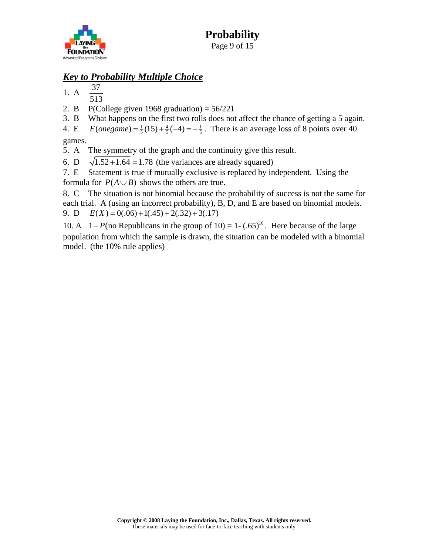

# *Key to Probability Multiple Choice*

1. A  $\frac{37}{1}$ 

- 513
- 2. B P(College given 1968 graduation) =  $56/221$
- 3. B What happens on the first two rolls does not affect the chance of getting a 5 again.

4. E  $E(\text{onegame}) = \frac{1}{5}(15) + \frac{4}{5}(-4) = -\frac{1}{5}$ . There is an average loss of 8 points over 40 games.

5. A The symmetry of the graph and the continuity give this result.

6. D  $\sqrt{1.52 + 1.64} = 1.78$  (the variances are already squared)

7. E Statement is true if mutually exclusive is replaced by independent. Using the formula for  $P(A \cup B)$  shows the others are true.

8. C The situation is not binomial because the probability of success is not the same for each trial. A (using an incorrect probability), B, D, and E are based on binomial models. 9. D  $E(X) = 0(.06) + 1(.45) + 2(.32) + 3(.17)$ 

10. A  $1-P$ (no Republicans in the group of 10) = 1 - (.65)<sup>10</sup>. Here because of the large population from which the sample is drawn, the situation can be modeled with a binomial model. (the 10% rule applies)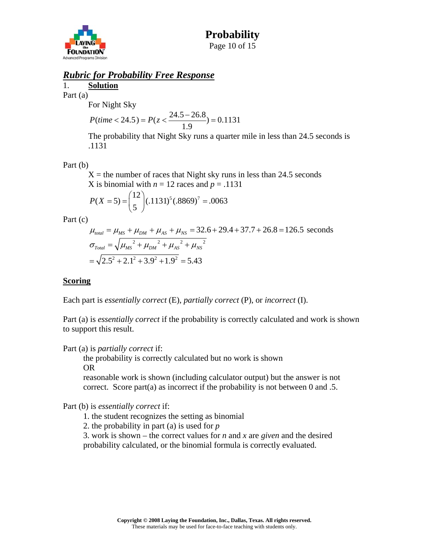

#### *Rubric for Probability Free Response*

1. **Solution** Part (a)

For Night Sky

$$
P(time < 24.5) = P(z < \frac{24.5 - 26.8}{1.9}) = 0.1131
$$

The probability that Night Sky runs a quarter mile in less than 24.5 seconds is .1131

Part (b)

 $X =$  the number of races that Night sky runs in less than 24.5 seconds X is binomial with  $n = 12$  races and  $p = .1131$ 

$$
P(X=5) = {12 \choose 5} (.1131)^5 (.8869)^7 = .0063
$$

Part (c)

$$
\mu_{total} = \mu_{MS} + \mu_{DM} + \mu_{AS} + \mu_{NS} = 32.6 + 29.4 + 37.7 + 26.8 = 126.5
$$
 seconds  

$$
\sigma_{Total} = \sqrt{\mu_{MS}^2 + \mu_{DM}^2 + \mu_{AS}^2 + \mu_{NS}^2}
$$

$$
= \sqrt{2.5^2 + 2.1^2 + 3.9^2 + 1.9^2} = 5.43
$$

#### **Scoring**

Each part is *essentially correct* (E), *partially correct* (P), or *incorrect* (I).

Part (a) is *essentially correct* if the probability is correctly calculated and work is shown to support this result.

#### Part (a) is *partially correct* if:

 the probability is correctly calculated but no work is shown OR

reasonable work is shown (including calculator output) but the answer is not correct. Score part(a) as incorrect if the probability is not between 0 and .5.

Part (b) is *essentially correct* if:

1. the student recognizes the setting as binomial

2. the probability in part (a) is used for *p*

3. work is shown – the correct values for *n* and *x* are *given* and the desired probability calculated, or the binomial formula is correctly evaluated.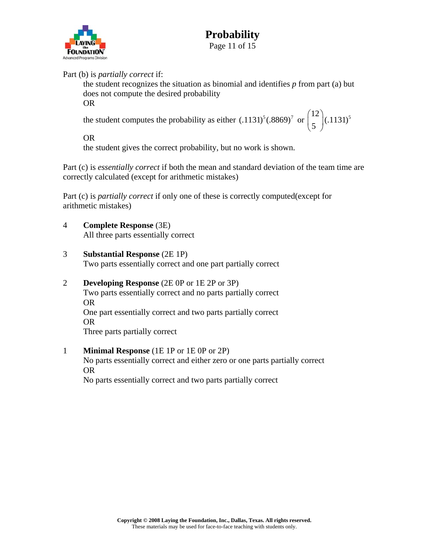

#### Part (b) is *partially correct* if:

the student recognizes the situation as binomial and identifies *p* from part (a) but does not compute the desired probability OR

the student computes the probability as either  $(.1131)^5(.8869)^7$  or  $\binom{12}{5}(.1131)^5$  $\binom{12}{5}$ (.1131)

OR

the student gives the correct probability, but no work is shown.

Part (c) is *essentially correct* if both the mean and standard deviation of the team time are correctly calculated (except for arithmetic mistakes)

Part (c) is *partially correct* if only one of these is correctly computed(except for arithmetic mistakes)

- 4 **Complete Response** (3E) All three parts essentially correct
- 3 **Substantial Response** (2E 1P)

Two parts essentially correct and one part partially correct

- 2 **Developing Response** (2E 0P or 1E 2P or 3P) Two parts essentially correct and no parts partially correct OR One part essentially correct and two parts partially correct OR Three parts partially correct
- 1 **Minimal Response** (1E 1P or 1E 0P or 2P)

 No parts essentially correct and either zero or one parts partially correct OR

No parts essentially correct and two parts partially correct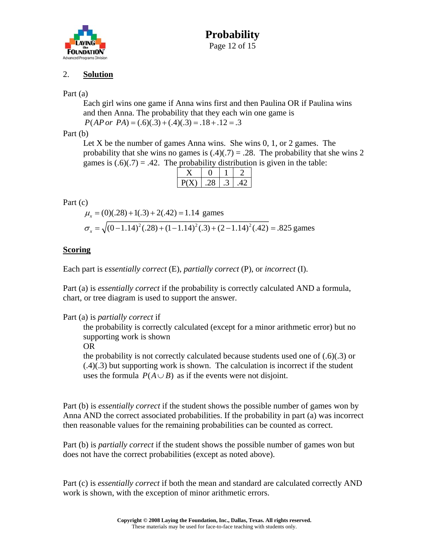

# **Probability**  Page 12 of 15

#### 2. **Solution**

#### Part (a)

Each girl wins one game if Anna wins first and then Paulina OR if Paulina wins and then Anna. The probability that they each win one game is  $P(AP \space or \space PA) = (.6)(.3) + (.4)(.3) = .18 + .12 = .3$ 

Part (b)

Let X be the number of games Anna wins. She wins  $0, 1,$  or  $2$  games. The probability that she wins no games is  $(.4)(.7) = .28$ . The probability that she wins 2 games is  $(.6)(.7) = .42$ . The probability distribution is given in the table:

#### Part (c)

 $\mu_r = (0)(.28) + 1(.3) + 2(.42) = 1.14$  games  $\sigma_r = \sqrt{(0-1.14)^2(.28) + (1-1.14)^2(.3) + (2-1.14)^2(.42)} = .825$  games

#### **Scoring**

Each part is *essentially correct* (E), *partially correct* (P), or *incorrect* (I).

Part (a) is *essentially correct* if the probability is correctly calculated AND a formula, chart, or tree diagram is used to support the answer.

#### Part (a) is *partially correct* if

the probability is correctly calculated (except for a minor arithmetic error) but no supporting work is shown

OR

the probability is not correctly calculated because students used one of  $(.6)(.3)$  or (.4)(.3) but supporting work is shown. The calculation is incorrect if the student uses the formula  $P(A \cup B)$  as if the events were not disjoint.

Part (b) is *essentially correct* if the student shows the possible number of games won by Anna AND the correct associated probabilities. If the probability in part (a) was incorrect then reasonable values for the remaining probabilities can be counted as correct.

Part (b) is *partially correct* if the student shows the possible number of games won but does not have the correct probabilities (except as noted above).

Part (c) is *essentially correct* if both the mean and standard are calculated correctly AND work is shown, with the exception of minor arithmetic errors.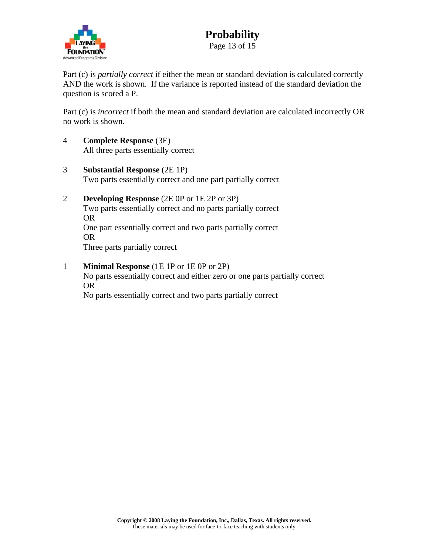

Part (c) is *partially correct* if either the mean or standard deviation is calculated correctly AND the work is shown. If the variance is reported instead of the standard deviation the question is scored a P.

Part (c) is *incorrect* if both the mean and standard deviation are calculated incorrectly OR no work is shown.

- 4 **Complete Response** (3E) All three parts essentially correct
- 3 **Substantial Response** (2E 1P) Two parts essentially correct and one part partially correct
- 2 **Developing Response** (2E 0P or 1E 2P or 3P) Two parts essentially correct and no parts partially correct OR One part essentially correct and two parts partially correct OR Three parts partially correct
- 1 **Minimal Response** (1E 1P or 1E 0P or 2P) No parts essentially correct and either zero or one parts partially correct OR No parts essentially correct and two parts partially correct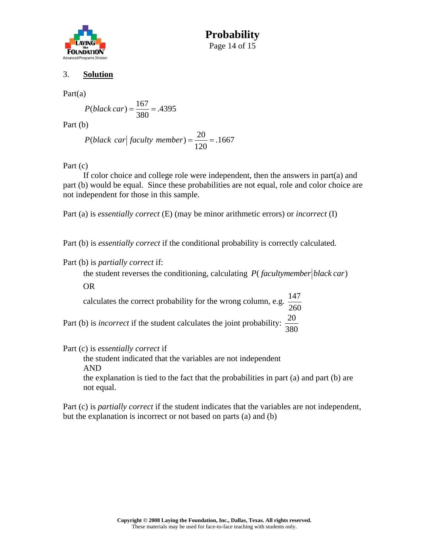

**Probability**  Page 14 of 15

#### 3. **Solution**

Part(a)

$$
P(black car) = \frac{167}{380} = .4395
$$

Part (b)

 $P(black car | faculty member) = \frac{20}{120} = .1667$ 

Part (c)

 If color choice and college role were independent, then the answers in part(a) and part (b) would be equal. Since these probabilities are not equal, role and color choice are not independent for those in this sample.

Part (a) is *essentially correct* (E) (may be minor arithmetic errors) or *incorrect* (I)

Part (b) is *essentially correct* if the conditional probability is correctly calculated.

Part (b) is *partially correct* if:

the student reverses the conditioning, calculating  $P$  (*facultymember black car*)

OR

calculates the correct probability for the wrong column, e.g.  $\frac{147}{256}$ 260

Part (b) is *incorrect* if the student calculates the joint probability: 380

Part (c) is *essentially correct* if

 the student indicated that the variables are not independent AND

the explanation is tied to the fact that the probabilities in part (a) and part (b) are not equal.

Part (c) is *partially correct* if the student indicates that the variables are not independent, but the explanation is incorrect or not based on parts (a) and (b)